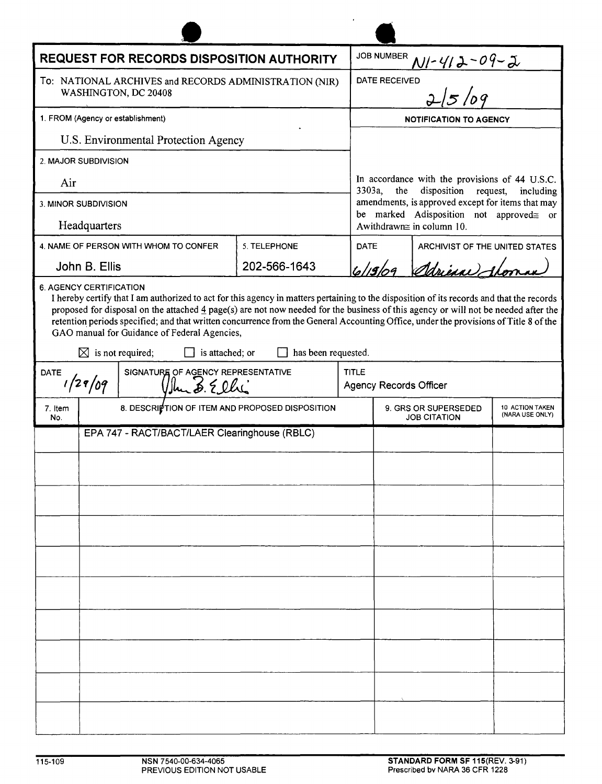| <b>REQUEST FOR RECORDS DISPOSITION AUTHORITY</b>                               |                                                                |                                                                                                                                                                                                                                                                                                                                                                                                                                                                                                        |                     |                                                                                          | <b>JOB NUMBER</b><br>$N1 - 412 - 04 - 2$                                                                                  |                                                                                                      |                       |  |                      |
|--------------------------------------------------------------------------------|----------------------------------------------------------------|--------------------------------------------------------------------------------------------------------------------------------------------------------------------------------------------------------------------------------------------------------------------------------------------------------------------------------------------------------------------------------------------------------------------------------------------------------------------------------------------------------|---------------------|------------------------------------------------------------------------------------------|---------------------------------------------------------------------------------------------------------------------------|------------------------------------------------------------------------------------------------------|-----------------------|--|----------------------|
| To: NATIONAL ARCHIVES and RECORDS ADMINISTRATION (NIR)<br>WASHINGTON, DC 20408 |                                                                |                                                                                                                                                                                                                                                                                                                                                                                                                                                                                                        |                     |                                                                                          | 2/5/09<br>DATE RECEIVED                                                                                                   |                                                                                                      |                       |  |                      |
| 1. FROM (Agency or establishment)<br>U.S. Environmental Protection Agency      |                                                                |                                                                                                                                                                                                                                                                                                                                                                                                                                                                                                        |                     |                                                                                          | <b>NOTIFICATION TO AGENCY</b>                                                                                             |                                                                                                      |                       |  |                      |
|                                                                                |                                                                |                                                                                                                                                                                                                                                                                                                                                                                                                                                                                                        |                     |                                                                                          |                                                                                                                           |                                                                                                      |                       |  | 2. MAJOR SUBDIVISION |
| Air                                                                            |                                                                |                                                                                                                                                                                                                                                                                                                                                                                                                                                                                                        |                     |                                                                                          |                                                                                                                           | In accordance with the provisions of 44 U.S.C.<br>3303a, the<br>disposition<br>request,<br>including |                       |  |                      |
| 3. MINOR SUBDIVISION<br>Headquarters                                           |                                                                |                                                                                                                                                                                                                                                                                                                                                                                                                                                                                                        |                     |                                                                                          | amendments, is approved except for items that may<br>be marked Adisposition not approved gor<br>Awithdrawn≅ in column 10. |                                                                                                      |                       |  |                      |
|                                                                                |                                                                | 4. NAME OF PERSON WITH WHOM TO CONFER                                                                                                                                                                                                                                                                                                                                                                                                                                                                  | 5. TELEPHONE        |                                                                                          | <b>DATE</b><br>ARCHIVIST OF THE UNITED STATES                                                                             |                                                                                                      |                       |  |                      |
| John B. Ellis                                                                  |                                                                |                                                                                                                                                                                                                                                                                                                                                                                                                                                                                                        | 202-566-1643        |                                                                                          |                                                                                                                           |                                                                                                      | 6/19/09 Adrience than |  |                      |
|                                                                                | <b>6. AGENCY CERTIFICATION</b><br>$\boxtimes$ is not required; | I hereby certify that I am authorized to act for this agency in matters pertaining to the disposition of its records and that the records<br>proposed for disposal on the attached $\frac{4}{3}$ page(s) are not now needed for the business of this agency or will not be needed after the<br>retention periods specified; and that written concurrence from the General Accounting Office, under the provisions of Title 8 of the<br>GAO manual for Guidance of Federal Agencies,<br>is attached; or | has been requested. |                                                                                          |                                                                                                                           |                                                                                                      |                       |  |                      |
| SIGNATURE OF AGENCY REPRESENTATIVE<br><b>DATE</b><br>1/29/09<br>Ulm 3. Ellis   |                                                                |                                                                                                                                                                                                                                                                                                                                                                                                                                                                                                        |                     |                                                                                          | <b>TITLE</b><br><b>Agency Records Officer</b>                                                                             |                                                                                                      |                       |  |                      |
| 7. Item<br>No.                                                                 | 8. DESCRIPTION OF ITEM AND PROPOSED DISPOSITION                |                                                                                                                                                                                                                                                                                                                                                                                                                                                                                                        |                     | 9. GRS OR SUPERSEDED<br><b>10 ACTION TAKEN</b><br>(NARA USE ONLY)<br><b>JOB CITATION</b> |                                                                                                                           |                                                                                                      |                       |  |                      |
|                                                                                | EPA 747 - RACT/BACT/LAER Clearinghouse (RBLC)                  |                                                                                                                                                                                                                                                                                                                                                                                                                                                                                                        |                     |                                                                                          |                                                                                                                           |                                                                                                      |                       |  |                      |
|                                                                                |                                                                |                                                                                                                                                                                                                                                                                                                                                                                                                                                                                                        |                     |                                                                                          |                                                                                                                           |                                                                                                      |                       |  |                      |
|                                                                                |                                                                |                                                                                                                                                                                                                                                                                                                                                                                                                                                                                                        |                     |                                                                                          |                                                                                                                           |                                                                                                      |                       |  |                      |
|                                                                                |                                                                |                                                                                                                                                                                                                                                                                                                                                                                                                                                                                                        |                     |                                                                                          |                                                                                                                           |                                                                                                      |                       |  |                      |
|                                                                                |                                                                |                                                                                                                                                                                                                                                                                                                                                                                                                                                                                                        |                     |                                                                                          |                                                                                                                           |                                                                                                      |                       |  |                      |
|                                                                                |                                                                |                                                                                                                                                                                                                                                                                                                                                                                                                                                                                                        |                     |                                                                                          |                                                                                                                           |                                                                                                      |                       |  |                      |
|                                                                                |                                                                |                                                                                                                                                                                                                                                                                                                                                                                                                                                                                                        |                     |                                                                                          |                                                                                                                           |                                                                                                      |                       |  |                      |
|                                                                                |                                                                |                                                                                                                                                                                                                                                                                                                                                                                                                                                                                                        |                     |                                                                                          |                                                                                                                           |                                                                                                      |                       |  |                      |
|                                                                                |                                                                |                                                                                                                                                                                                                                                                                                                                                                                                                                                                                                        |                     |                                                                                          |                                                                                                                           |                                                                                                      |                       |  |                      |
|                                                                                |                                                                |                                                                                                                                                                                                                                                                                                                                                                                                                                                                                                        |                     |                                                                                          |                                                                                                                           |                                                                                                      |                       |  |                      |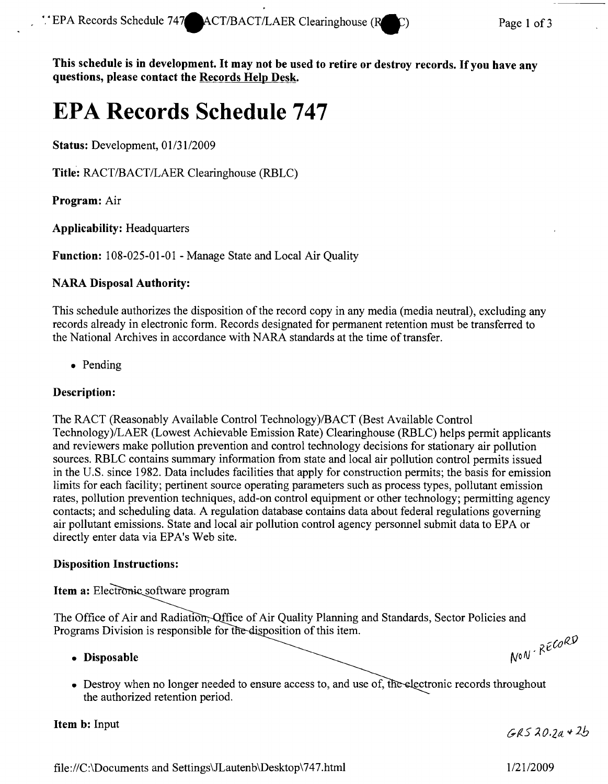**This schedule is in development. It may not be used to retire or destroy records.** Ifyou **have any questions, please contact the Records Help Desk.**

# **EPA Records Schedule 747**

**Status:** Development, *0113112009*

**Title:** *RACT/BACT/LAER* Clearinghouse (RBLC)

**Program:** Air

**Applicability:** Headquarters

**Function:** 108-025-01-01 - Manage State and Local Air Quality

## **NARA Disposal Authority:**

This schedule authorizes the disposition of the record copy in any media (media neutral), excluding any records already in electronic form. Records designated for permanent retention must be transferred to the National Archives in accordance with NARA standards at the time of transfer.

• Pending

## **Description:**

The RACT (Reasonably Available Control Technology)/BACT (Best Available Control Technology)/LAER (Lowest Achievable Emission Rate) Clearinghouse (RBLC) helps permit applicants and reviewers make pollution prevention and control technology decisions for stationary air pollution sources. RBLC contains summary information from state and local air pollution control permits issued in the U.S. since 1982. Data includes facilities that apply for construction permits; the basis for emission limits for each facility; pertinent source operating parameters such as process types, pollutant emission rates, pollution prevention techniques, add-on control equipment or other technology; permitting agency contacts; and scheduling data. A regulation database contains data about federal regulations governing air pollutant emissions. State and local air pollution control agency personnel submit data to EPA or directly enter data via EPA's Web site.

#### **Disposition Instructions:**

Item a: Electronic software program

The Office of Air and Radiation, Office of Air Quality Planning and Standards, Sector Policies and Programs Division is responsible for the disposition of this item. NON-RECORD

#### **• Disposable**

• Destroy when no longer needed to ensure access to, and use of, the the authorized retention period.

#### **Item b:** Input

 $GRS20.7a*2b$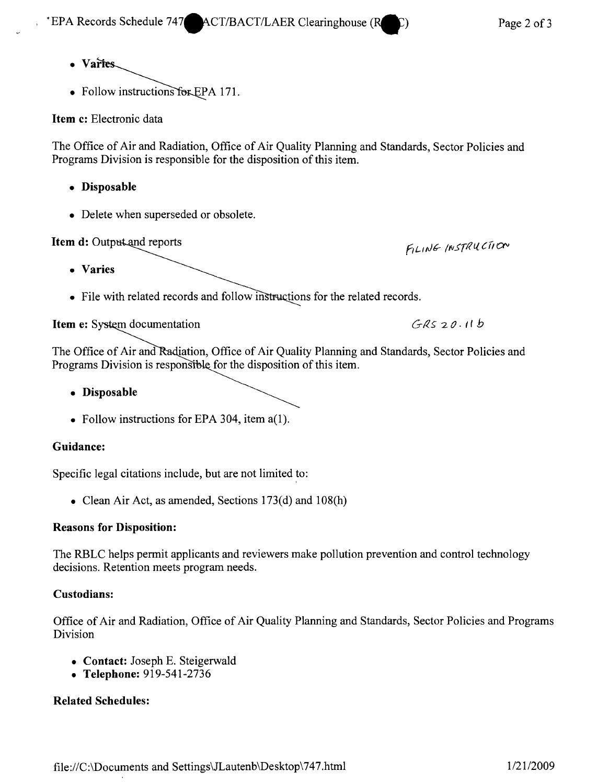- Varies
- Follow instructions for EPA 171.

**Item c:** Electronic data

The Office of Air and Radiation, Office of Air Quality Planning and Standards, Sector Policies and Programs Division is responsible for the disposition of this item.

- **• Disposable**
- Delete when superseded or obsolete.

|  |  | Item d: Output and reports |  |
|--|--|----------------------------|--|
|--|--|----------------------------|--|

**• Varies**

FILING INSTRUCTION

 $GRS20.11b$ 

• File with related records and follow instructions for the related records.

**Item e: S**

The Office of Air and Radiation, Office of Air Quality Planning and Standards, Sector Policies and Programs Division is responsible for the disposition of this item.

- **• Disposable**
- Follow instructions for EPA 304, item a(1).

#### **Guidance:**

Specific legal citations include, but are not limited to:

• Clean Air Act, as amended, Sections 173(d) and 108(h)

#### **Reasons for Disposition:**

The RBLC helps permit applicants and reviewers make pollution prevention and control technology decisions. Retention meets program needs.

#### **Custodians:**

Office of Air and Radiation, Office of Air Quality Planning and Standards, Sector Policies and Programs Division

- **• Contact:** Joseph E. Steigerwald
- **• Telephone:** 919-541-2736

# **Related Schedules:**

file *:IIC:*\Documents and Settings\JLautenb \Desktop \747.html *1/2112009*